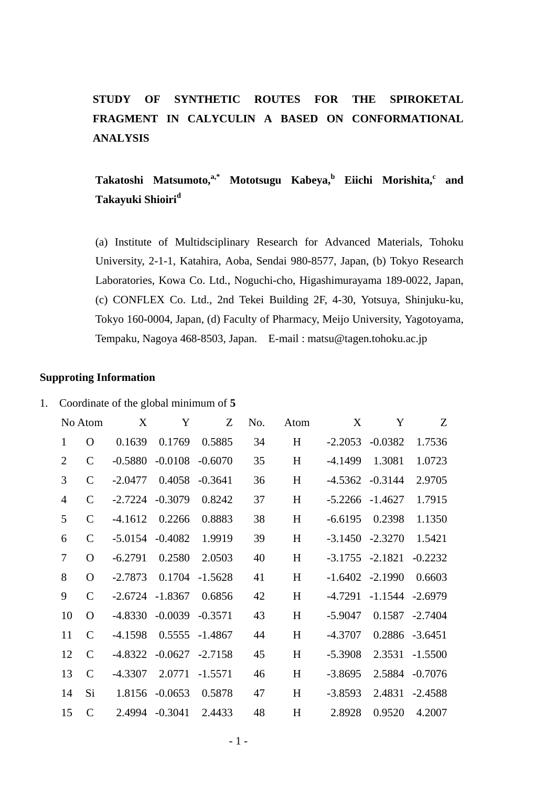## **STUDY OF SYNTHETIC ROUTES FOR THE SPIROKETAL FRAGMENT IN CALYCULIN A BASED ON CONFORMATIONAL ANALYSIS**

### $\bf{Takatoshi}$   $\bf{Matsumoto,}^{a,*}$   $\bf{Mototsugu}$   $\bf{Kabeya,}^b$   $\bf{Eiichi}$   $\bf{Morishita,}^c$  and **Takayuki Shioiri<sup>d</sup>**

(a) Institute of Multidsciplinary Research for Advanced Materials, Tohoku University, 2-1-1, Katahira, Aoba, Sendai 980-8577, Japan, (b) Tokyo Research Laboratories, Kowa Co. Ltd., Noguchi-cho, Higashimurayama 189-0022, Japan, (c) CONFLEX Co. Ltd., 2nd Tekei Building 2F, 4-30, Yotsuya, Shinjuku-ku, Tokyo 160-0004, Japan, (d) Faculty of Pharmacy, Meijo University, Yagotoyama, Tempaku, Nagoya 468-8503, Japan. E-mail : matsu@tagen.tohoku.ac.jp

#### **Supproting Information**

| Coordinate of the global minimum of 5 |  |  |
|---------------------------------------|--|--|
|                                       |  |  |

|                | No Atom       | X         | Y         | Z         | No. | Atom | X         | Y         | Z              |
|----------------|---------------|-----------|-----------|-----------|-----|------|-----------|-----------|----------------|
| $\mathbf{1}$   | O             | 0.1639    | 0.1769    | 0.5885    | 34  | H    | $-2.2053$ | $-0.0382$ | 1.7536         |
| $\overline{2}$ | $\mathsf{C}$  | $-0.5880$ | $-0.0108$ | $-0.6070$ | 35  | H    | $-4.1499$ | 1.3081    | 1.0723         |
| 3              | $\mathsf{C}$  | $-2.0477$ | 0.4058    | $-0.3641$ | 36  | H    | $-4.5362$ | $-0.3144$ | 2.9705         |
| $\overline{4}$ | $\mathsf{C}$  | $-2.7224$ | $-0.3079$ | 0.8242    | 37  | H    | $-5.2266$ | $-1.4627$ | 1.7915         |
| 5              | $\mathsf{C}$  | $-4.1612$ | 0.2266    | 0.8883    | 38  | H    | $-6.6195$ | 0.2398    | 1.1350         |
| 6              | $\mathsf{C}$  | $-5.0154$ | $-0.4082$ | 1.9919    | 39  | H    | $-3.1450$ | $-2.3270$ | 1.5421         |
| 7              | O             | $-6.2791$ | 0.2580    | 2.0503    | 40  | H    | $-3.1755$ | $-2.1821$ | $-0.2232$      |
| 8              | $\mathbf{O}$  | $-2.7873$ | 0.1704    | $-1.5628$ | 41  | H    | $-1.6402$ | $-2.1990$ | 0.6603         |
| 9              | $\mathcal{C}$ | $-2.6724$ | $-1.8367$ | 0.6856    | 42  | H    | $-4.7291$ | $-1.1544$ | $-2.6979$      |
| 10             | $\Omega$      | $-4.8330$ | $-0.0039$ | $-0.3571$ | 43  | H    | $-5.9047$ |           | 0.1587 -2.7404 |
| 11             | $\mathsf{C}$  | $-4.1598$ | 0.5555    | $-1.4867$ | 44  | H    | $-4.3707$ | 0.2886    | $-3.6451$      |
| 12             | $\mathsf{C}$  | -4.8322   | $-0.0627$ | $-2.7158$ | 45  | H    | $-5.3908$ | 2.3531    | $-1.5500$      |
| 13             | $\mathsf{C}$  | $-4.3307$ | 2.0771    | $-1.5571$ | 46  | H    | $-3.8695$ | 2.5884    | $-0.7076$      |
| 14             | Si            | 1.8156    | $-0.0653$ | 0.5878    | 47  | H    | $-3.8593$ | 2.4831    | $-2.4588$      |
| 15             | $\mathcal{C}$ | 2.4994    | $-0.3041$ | 2.4433    | 48  | H    | 2.8928    | 0.9520    | 4.2007         |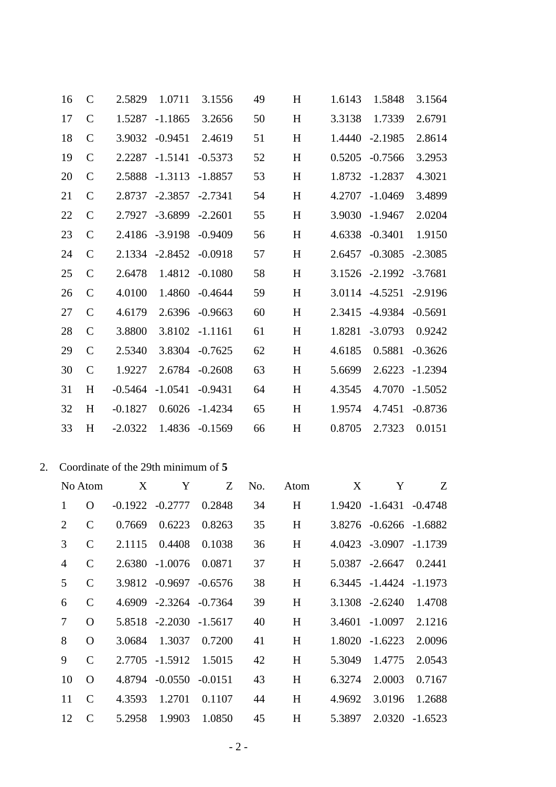|    | 16             | $\mathcal{C}$ | 2.5829                              | 1.0711            | 3.1556         | 49  | H    | 1.6143 | 1.5848                 | 3.1564    |
|----|----------------|---------------|-------------------------------------|-------------------|----------------|-----|------|--------|------------------------|-----------|
|    | 17             | $\mathbf C$   | 1.5287                              | $-1.1865$         | 3.2656         | 50  | H    | 3.3138 | 1.7339                 | 2.6791    |
|    | 18             | $\mathcal{C}$ | 3.9032                              | $-0.9451$         | 2.4619         | 51  | H    | 1.4440 | $-2.1985$              | 2.8614    |
|    | 19             | $\mathcal{C}$ | 2.2287                              | $-1.5141$         | $-0.5373$      | 52  | H    | 0.5205 | $-0.7566$              | 3.2953    |
|    | 20             | $\mathsf{C}$  | 2.5888                              | $-1.3113$         | $-1.8857$      | 53  | H    | 1.8732 | $-1.2837$              | 4.3021    |
|    | 21             | $\mathsf{C}$  | 2.8737                              | $-2.3857$         | $-2.7341$      | 54  | H    | 4.2707 | $-1.0469$              | 3.4899    |
|    | 22             | $\mathcal{C}$ | 2.7927                              | $-3.6899$         | $-2.2601$      | 55  | H    | 3.9030 | $-1.9467$              | 2.0204    |
|    | 23             | $\mathcal{C}$ | 2.4186                              | $-3.9198$         | $-0.9409$      | 56  | H    | 4.6338 | $-0.3401$              | 1.9150    |
|    | 24             | $\mathbf C$   | 2.1334                              | $-2.8452$         | $-0.0918$      | 57  | H    | 2.6457 | $-0.3085$              | $-2.3085$ |
|    | 25             | $\mathbf C$   | 2.6478                              | 1.4812            | $-0.1080$      | 58  | H    | 3.1526 | $-2.1992$              | $-3.7681$ |
|    | 26             | $\mathsf{C}$  | 4.0100                              | 1.4860            | $-0.4644$      | 59  | H    | 3.0114 | $-4.5251$              | $-2.9196$ |
|    | 27             | $\mathcal{C}$ | 4.6179                              | 2.6396            | $-0.9663$      | 60  | H    | 2.3415 | -4.9384                | $-0.5691$ |
|    | 28             | $\mathbf C$   | 3.8800                              | 3.8102            | $-1.1161$      | 61  | H    | 1.8281 | $-3.0793$              | 0.9242    |
|    | 29             | $\mathcal{C}$ | 2.5340                              | 3.8304            | $-0.7625$      | 62  | H    | 4.6185 | 0.5881                 | $-0.3626$ |
|    | 30             | $\mathsf{C}$  | 1.9227                              | 2.6784            | $-0.2608$      | 63  | H    | 5.6699 | 2.6223                 | $-1.2394$ |
|    | 31             | H             | $-0.5464$                           | $-1.0541$         | $-0.9431$      | 64  | H    | 4.3545 | 4.7070                 | $-1.5052$ |
|    | 32             | H             | $-0.1827$                           | 0.6026            | -1.4234        | 65  | H    | 1.9574 | 4.7451                 | $-0.8736$ |
|    | 33             | H             | $-2.0322$                           |                   | 1.4836 -0.1569 | 66  | H    | 0.8705 | 2.7323                 | 0.0151    |
|    |                |               |                                     |                   |                |     |      |        |                        |           |
| 2. |                |               | Coordinate of the 29th minimum of 5 |                   |                |     |      |        |                        |           |
|    |                | No Atom       | X                                   | Y                 | Z              | No. | Atom | X      | Y                      | Z         |
|    | $\mathbf{1}$   | $\mathbf{O}$  |                                     | $-0.1922 -0.2777$ | 0.2848         | 34  | H    |        | 1.9420 -1.6431         | $-0.4748$ |
|    | $\mathbf{2}$   | $\mathbf C$   | 0.7669                              | 0.6223            | 0.8263         | 35  | H    |        | 3.8276 -0.6266 -1.6882 |           |
|    | 3              | $\mathsf{C}$  | 2.1115                              | 0.4408            | 0.1038         | 36  | H    |        | 4.0423 -3.0907         | $-1.1739$ |
|    | $\overline{4}$ | $\mathbf C$   | 2.6380                              | $-1.0076$         | 0.0871         | 37  | H    | 5.0387 | $-2.6647$              | 0.2441    |
|    | 5              | $\mathbf C$   | 3.9812                              | $-0.9697$         | $-0.6576$      | 38  | H    | 6.3445 | $-1.4424$              | $-1.1973$ |
|    | 6              | $\mathcal{C}$ | 4.6909                              | $-2.3264$         | $-0.7364$      | 39  | H    |        | 3.1308 -2.6240         | 1.4708    |
|    | $\tau$         | $\mathbf{O}$  | 5.8518                              | $-2.2030$         | $-1.5617$      | 40  | H    | 3.4601 | $-1.0097$              | 2.1216    |
|    | $8\,$          | $\mathbf{O}$  | 3.0684                              | 1.3037            | 0.7200         | 41  | H    | 1.8020 | $-1.6223$              | 2.0096    |
|    | 9              | $\mathbf C$   | 2.7705                              | $-1.5912$         | 1.5015         | 42  | H    | 5.3049 | 1.4775                 | 2.0543    |
|    | 10             | $\mathbf{O}$  | 4.8794                              | $-0.0550$         | $-0.0151$      | 43  | H    | 6.3274 | 2.0003                 | 0.7167    |
|    | 11             | $\mathbf C$   | 4.3593                              | 1.2701            | 0.1107         | 44  | H    | 4.9692 | 3.0196                 | 1.2688    |
|    | 12             | $\mathbf C$   | 5.2958                              | 1.9903 1.0850     |                | 45  | H    | 5.3897 | 2.0320 -1.6523         |           |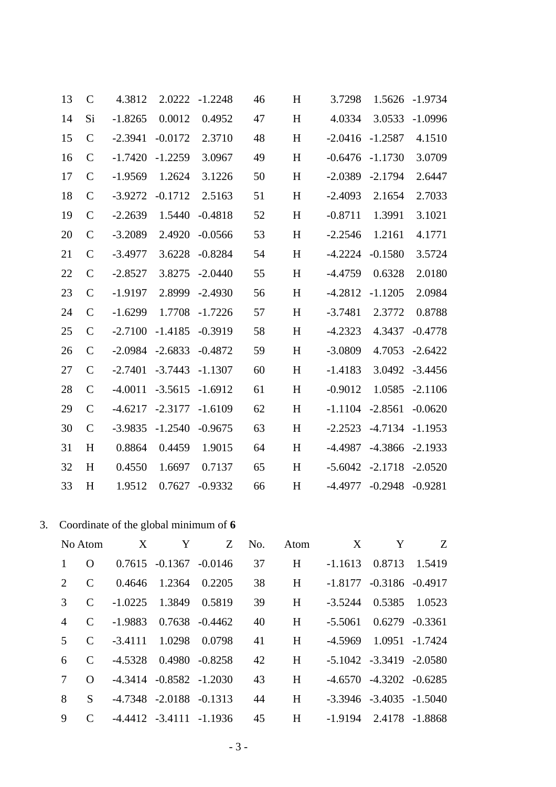| 13             | $\mathbf C$   | 4.3812                                | 2.0222    | $-1.2248$      | 46  | H    | 3.7298    | 1.5626             | $-1.9734$      |
|----------------|---------------|---------------------------------------|-----------|----------------|-----|------|-----------|--------------------|----------------|
| 14             | Si            | $-1.8265$                             | 0.0012    | 0.4952         | 47  | H    | 4.0334    | 3.0533             | $-1.0996$      |
| 15             | $\mathsf{C}$  | $-2.3941$                             | $-0.0172$ | 2.3710         | 48  | H    | $-2.0416$ | $-1.2587$          | 4.1510         |
| 16             | $\mathsf{C}$  | $-1.7420$                             | $-1.2259$ | 3.0967         | 49  | H    | $-0.6476$ | $-1.1730$          | 3.0709         |
| 17             | $\mathsf{C}$  | $-1.9569$                             | 1.2624    | 3.1226         | 50  | H    | $-2.0389$ | $-2.1794$          | 2.6447         |
| 18             | $\mathcal{C}$ | $-3.9272$                             | $-0.1712$ | 2.5163         | 51  | H    | $-2.4093$ | 2.1654             | 2.7033         |
| 19             | $\mathsf{C}$  | $-2.2639$                             | 1.5440    | $-0.4818$      | 52  | H    | $-0.8711$ | 1.3991             | 3.1021         |
| 20             | $\mathbf C$   | $-3.2089$                             | 2.4920    | $-0.0566$      | 53  | H    | $-2.2546$ | 1.2161             | 4.1771         |
| 21             | $\mathsf{C}$  | $-3.4977$                             | 3.6228    | $-0.8284$      | 54  | H    | $-4.2224$ | $-0.1580$          | 3.5724         |
| 22             | $\mathbf C$   | $-2.8527$                             | 3.8275    | $-2.0440$      | 55  | H    | $-4.4759$ | 0.6328             | 2.0180         |
| 23             | $\mathsf{C}$  | $-1.9197$                             | 2.8999    | $-2.4930$      | 56  | H    | $-4.2812$ | $-1.1205$          | 2.0984         |
| 24             | $\mathbf C$   | $-1.6299$                             | 1.7708    | $-1.7226$      | 57  | H    | $-3.7481$ | 2.3772             | 0.8788         |
| 25             | $\mathsf{C}$  | $-2.7100$                             | $-1.4185$ | $-0.3919$      | 58  | H    | $-4.2323$ | 4.3437             | $-0.4778$      |
| 26             | $\mathbf C$   | $-2.0984$                             | $-2.6833$ | $-0.4872$      | 59  | H    | $-3.0809$ | 4.7053             | $-2.6422$      |
| 27             | $\mathsf{C}$  | $-2.7401$                             | $-3.7443$ | $-1.1307$      | 60  | H    | $-1.4183$ | 3.0492             | $-3.4456$      |
| 28             | $\mathbf C$   | $-4.0011$                             | $-3.5615$ | $-1.6912$      | 61  | H    | $-0.9012$ | 1.0585             | $-2.1106$      |
| 29             | $\mathcal{C}$ | $-4.6217$                             | $-2.3177$ | $-1.6109$      | 62  | H    | $-1.1104$ | $-2.8561$          | $-0.0620$      |
| 30             | $\mathsf{C}$  | $-3.9835$                             | $-1.2540$ | $-0.9675$      | 63  | H    | $-2.2523$ | $-4.7134$          | $-1.1953$      |
| 31             | H             | 0.8864                                | 0.4459    | 1.9015         | 64  | H    | $-4.4987$ | $-4.3866$          | $-2.1933$      |
| 32             | H             | 0.4550                                | 1.6697    | 0.7137         | 65  | H    | $-5.6042$ | $-2.1718$          | $-2.0520$      |
| 33             | $H_{\rm}$     | 1.9512                                | 0.7627    | $-0.9332$      | 66  | H    | -4.4977   | $-0.2948$          | $-0.9281$      |
|                |               |                                       |           |                |     |      |           |                    |                |
|                |               | Coordinate of the global minimum of 6 |           |                |     |      |           |                    |                |
|                | No Atom       | X                                     | Y         | Z              | No. | Atom | X         | Y                  | Z              |
| $\mathbf{1}$   | $\mathbf{O}$  | 0.7615                                | $-0.1367$ | $-0.0146$      | 37  | H    | $-1.1613$ | 0.8713             | 1.5419         |
| $\overline{2}$ | $\mathbf C$   | 0.4646                                | 1.2364    | 0.2205         | 38  | H    | $-1.8177$ | $-0.3186 - 0.4917$ |                |
| 3              | $\mathsf{C}$  | $-1.0225$                             | 1.3849    | 0.5819         | 39  | H    | $-3.5244$ | 0.5385             | 1.0523         |
| $\overline{4}$ | $\mathbf C$   | $-1.9883$                             |           | 0.7638 -0.4462 | 40  | H    | $-5.5061$ |                    | 0.6279 -0.3361 |
|                |               |                                       |           |                |     |      |           |                    |                |

 $\overline{3}$ .

| $\mathbf{1}$ | $\Omega$                    | $0.7615 - 0.1367 - 0.0146$    |                            | 37 | H |
|--------------|-----------------------------|-------------------------------|----------------------------|----|---|
| 2            | $\mathcal{C}$               | 0.4646 1.2364 0.2205          |                            | 38 | H |
| 3            | $\mathcal{C}$               | $-1.0225$ 1.3849 0.5819       |                            | 39 | H |
| 4            | $\mathcal{C}$               |                               | $-1.9883$ 0.7638 $-0.4462$ | 40 | H |
| 5            | C                           | -3.4111 1.0298 0.0798         |                            | 41 | H |
| 6            | C                           | -4.5328  0.4980  -0.8258      |                            | 42 | H |
| 7            | $\Omega$                    | $-4.3414$ $-0.8582$ $-1.2030$ |                            | 43 | H |
| 8            | S.                          | $-4.7348$ $-2.0188$ $-0.1313$ |                            | 44 | H |
| 9            | $\mathcal{C}_{\mathcal{C}}$ | $-4.4412$ $-3.4111$ $-1.1936$ |                            | 45 | H |

| I | $-1.1613$ |                               | 0.8713 1.5419 |
|---|-----------|-------------------------------|---------------|
| I |           | $-1.8177$ $-0.3186$ $-0.4917$ |               |
| I | $-3.5244$ |                               | 0.5385 1.0523 |
| I |           | $-5.5061$ $0.6279$ $-0.3361$  |               |
| I |           | -4.5969 1.0951 -1.7424        |               |
| I |           | $-5.1042$ $-3.3419$ $-2.0580$ |               |
| I |           | $-4.6570 -4.3202 -0.6285$     |               |
| I |           | $-3.3946$ $-3.4035$ $-1.5040$ |               |
| I |           | $-1.9194$ 2.4178 $-1.8868$    |               |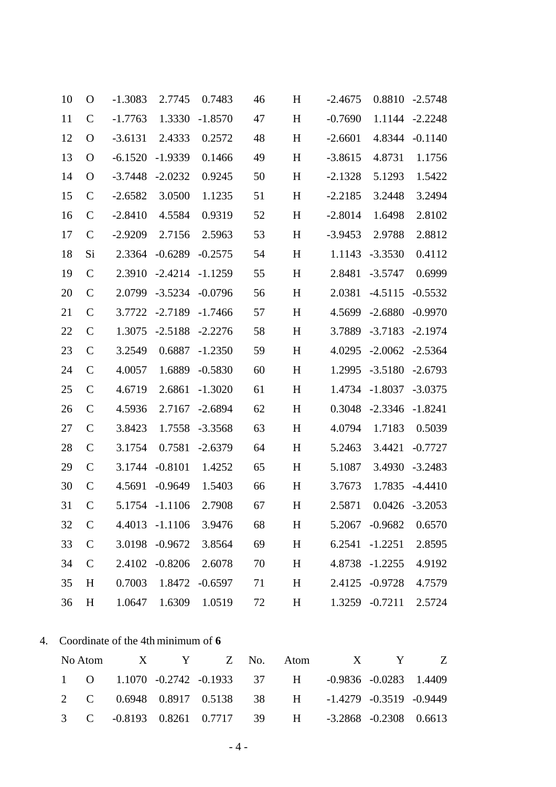| 10 | $\Omega$      | $-1.3083$ | 2.7745         | 0.7483    | 46 | H | $-2.4675$ | 0.8810            | $-2.5748$         |
|----|---------------|-----------|----------------|-----------|----|---|-----------|-------------------|-------------------|
| 11 | $\mathbf C$   | $-1.7763$ | 1.3330         | $-1.8570$ | 47 | H | $-0.7690$ | 1.1144            | $-2.2248$         |
| 12 | $\Omega$      | $-3.6131$ | 2.4333         | 0.2572    | 48 | H | $-2.6601$ | 4.8344            | $-0.1140$         |
| 13 | $\mathbf{O}$  | $-6.1520$ | $-1.9339$      | 0.1466    | 49 | H | $-3.8615$ | 4.8731            | 1.1756            |
| 14 | $\mathbf{O}$  | $-3.7448$ | $-2.0232$      | 0.9245    | 50 | H | $-2.1328$ | 5.1293            | 1.5422            |
| 15 | $\mathcal{C}$ | $-2.6582$ | 3.0500         | 1.1235    | 51 | H | $-2.2185$ | 3.2448            | 3.2494            |
| 16 | $\mathcal{C}$ | $-2.8410$ | 4.5584         | 0.9319    | 52 | H | $-2.8014$ | 1.6498            | 2.8102            |
| 17 | $\mathbf C$   | $-2.9209$ | 2.7156         | 2.5963    | 53 | H | $-3.9453$ | 2.9788            | 2.8812            |
| 18 | Si            | 2.3364    | $-0.6289$      | $-0.2575$ | 54 | H | 1.1143    | $-3.3530$         | 0.4112            |
| 19 | $\mathsf{C}$  | 2.3910    | $-2.4214$      | $-1.1259$ | 55 | H | 2.8481    | $-3.5747$         | 0.6999            |
| 20 | $\mathbf C$   | 2.0799    | $-3.5234$      | $-0.0796$ | 56 | H | 2.0381    | $-4.5115$         | $-0.5532$         |
| 21 | $\mathcal{C}$ | 3.7722    | $-2.7189$      | $-1.7466$ | 57 | H | 4.5699    | $-2.6880$         | $-0.9970$         |
| 22 | $\mathbf C$   | 1.3075    | $-2.5188$      | $-2.2276$ | 58 | H | 3.7889    | $-3.7183$         | $-2.1974$         |
| 23 | $\mathcal{C}$ | 3.2549    | 0.6887         | $-1.2350$ | 59 | H | 4.0295    | $-2.0062$         | $-2.5364$         |
| 24 | $\mathbf C$   | 4.0057    | 1.6889         | $-0.5830$ | 60 | H | 1.2995    | $-3.5180$         | $-2.6793$         |
| 25 | $\mathbf C$   | 4.6719    | 2.6861         | $-1.3020$ | 61 | H | 1.4734    | $-1.8037$         | $-3.0375$         |
| 26 | $\mathcal{C}$ | 4.5936    | 2.7167         | $-2.6894$ | 62 | H | 0.3048    | $-2.3346$         | $-1.8241$         |
| 27 | $\mathcal{C}$ | 3.8423    | 1.7558         | $-3.3568$ | 63 | H | 4.0794    | 1.7183            | 0.5039            |
| 28 | $\mathcal{C}$ | 3.1754    | 0.7581         | $-2.6379$ | 64 | H | 5.2463    | 3.4421            | $-0.7727$         |
| 29 | $\mathbf C$   | 3.1744    | $-0.8101$      | 1.4252    | 65 | H | 5.1087    | 3.4930            | $-3.2483$         |
| 30 | $\mathcal{C}$ | 4.5691    | $-0.9649$      | 1.5403    | 66 | H | 3.7673    | 1.7835            | $-4.4410$         |
| 31 | $\mathcal{C}$ | 5.1754    | $-1.1106$      | 2.7908    | 67 | H | 2.5871    |                   | $0.0426 - 3.2053$ |
| 32 | $\mathsf{C}$  |           | 4.4013 -1.1106 | 3.9476    | 68 | H |           | 5.2067 -0.9682    | 0.6570            |
| 33 | $\mathbf C$   |           | 3.0198 -0.9672 | 3.8564    | 69 | H |           | $6.2541 - 1.2251$ | 2.8595            |
| 34 | $\mathbf C$   |           | 2.4102 -0.8206 | 2.6078    | 70 | H |           | 4.8738 -1.2255    | 4.9192            |
| 35 | H             | 0.7003    | 1.8472         | $-0.6597$ | 71 | H |           | 2.4125 -0.9728    | 4.7579            |
| 36 | H             | 1.0647    | 1.6309         | 1.0519    | 72 | H |           | 1.3259 -0.7211    | 2.5724            |
|    |               |           |                |           |    |   |           |                   |                   |

### 4. Coordinate of the 4th minimum of 6

|  |  |  |  | No Atom X Y Z No. Atom X Y Z                           |  |
|--|--|--|--|--------------------------------------------------------|--|
|  |  |  |  | 1 0 1.1070 -0.2742 -0.1933 37 H -0.9836 -0.0283 1.4409 |  |
|  |  |  |  | 2 C 0.6948 0.8917 0.5138 38 H -1.4279 -0.3519 -0.9449  |  |
|  |  |  |  | 3 C -0.8193 0.8261 0.7717 39 H -3.2868 -0.2308 0.6613  |  |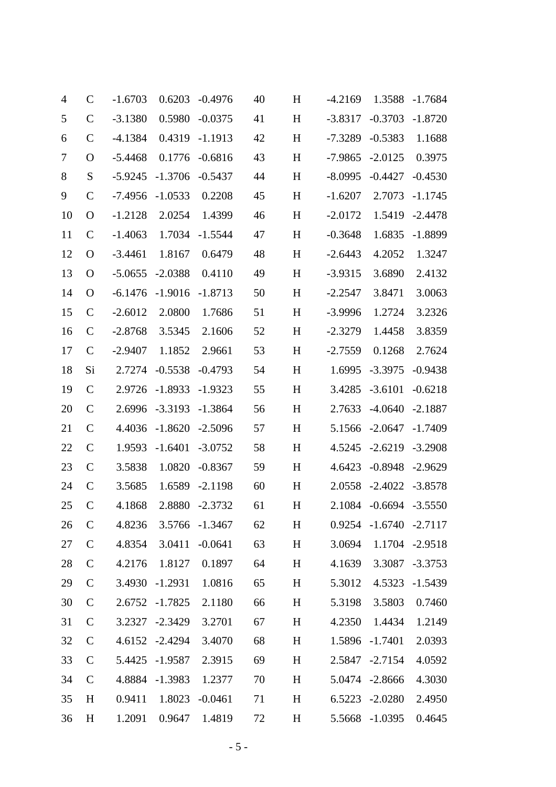| $\overline{4}$ | $\mathbf C$   | $-1.6703$ | 0.6203         | $-0.4976$      | 40 | H | $-4.2169$ | 1.3588                 | $-1.7684$      |
|----------------|---------------|-----------|----------------|----------------|----|---|-----------|------------------------|----------------|
| 5              | $\mathbf C$   | $-3.1380$ | 0.5980         | $-0.0375$      | 41 | H | $-3.8317$ | $-0.3703$              | $-1.8720$      |
| 6              | $\mathbf C$   | $-4.1384$ | 0.4319         | $-1.1913$      | 42 | H | $-7.3289$ | $-0.5383$              | 1.1688         |
| 7              | $\Omega$      | $-5.4468$ | 0.1776         | $-0.6816$      | 43 | H | $-7.9865$ | $-2.0125$              | 0.3975         |
| 8              | S             | $-5.9245$ | $-1.3706$      | $-0.5437$      | 44 | H | $-8.0995$ | $-0.4427$              | $-0.4530$      |
| 9              | $\mathcal{C}$ | $-7.4956$ | $-1.0533$      | 0.2208         | 45 | H | $-1.6207$ | 2.7073                 | $-1.1745$      |
| 10             | $\mathbf O$   | $-1.2128$ | 2.0254         | 1.4399         | 46 | H | $-2.0172$ | 1.5419                 | $-2.4478$      |
| 11             | $\mathcal{C}$ | $-1.4063$ | 1.7034         | $-1.5544$      | 47 | H | $-0.3648$ | 1.6835                 | $-1.8899$      |
| 12             | $\mathbf O$   | $-3.4461$ | 1.8167         | 0.6479         | 48 | H | $-2.6443$ | 4.2052                 | 1.3247         |
| 13             | $\Omega$      | $-5.0655$ | $-2.0388$      | 0.4110         | 49 | H | $-3.9315$ | 3.6890                 | 2.4132         |
| 14             | $\Omega$      | $-6.1476$ | $-1.9016$      | $-1.8713$      | 50 | H | $-2.2547$ | 3.8471                 | 3.0063         |
| 15             | $\mathcal{C}$ | $-2.6012$ | 2.0800         | 1.7686         | 51 | H | $-3.9996$ | 1.2724                 | 3.2326         |
| 16             | $\mathbf C$   | $-2.8768$ | 3.5345         | 2.1606         | 52 | H | $-2.3279$ | 1.4458                 | 3.8359         |
| 17             | $\mathbf C$   | $-2.9407$ | 1.1852         | 2.9661         | 53 | H | $-2.7559$ | 0.1268                 | 2.7624         |
| 18             | Si            | 2.7274    | $-0.5538$      | $-0.4793$      | 54 | H | 1.6995    | $-3.3975$              | $-0.9438$      |
| 19             | $\mathbf C$   | 2.9726    | $-1.8933$      | $-1.9323$      | 55 | H | 3.4285    | $-3.6101$              | $-0.6218$      |
| 20             | $\mathcal{C}$ | 2.6996    | $-3.3193$      | $-1.3864$      | 56 | H | 2.7633    | $-4.0640$              | $-2.1887$      |
| 21             | $\mathbf C$   | 4.4036    | $-1.8620$      | $-2.5096$      | 57 | H | 5.1566    | $-2.0647$              | $-1.7409$      |
| 22             | $\mathbf C$   | 1.9593    | $-1.6401$      | $-3.0752$      | 58 | H | 4.5245    | $-2.6219$              | $-3.2908$      |
| 23             | $\mathbf C$   | 3.5838    | 1.0820         | $-0.8367$      | 59 | H | 4.6423    | $-0.8948$              | $-2.9629$      |
| 24             | $\mathbf C$   | 3.5685    | 1.6589         | $-2.1198$      | 60 | H | 2.0558    | $-2.4022 -3.8578$      |                |
| 25             | $\mathsf{C}$  | 4.1868    |                | 2.8880 -2.3732 | 61 | H | 2.1084    | $-0.6694 -3.5550$      |                |
| 26             | $\mathcal{C}$ | 4.8236    |                | 3.5766 -1.3467 | 62 | H |           | 0.9254 -1.6740 -2.7117 |                |
| 27             | $\mathsf{C}$  | 4.8354    | 3.0411         | $-0.0641$      | 63 | H | 3.0694    |                        | 1.1704 -2.9518 |
| 28             | $\mathcal{C}$ | 4.2176    | 1.8127         | 0.1897         | 64 | H | 4.1639    | 3.3087                 | $-3.3753$      |
| 29             | $\mathbf C$   | 3.4930    | $-1.2931$      | 1.0816         | 65 | H | 5.3012    | 4.5323                 | $-1.5439$      |
| 30             | $\mathbf C$   |           | 2.6752 -1.7825 | 2.1180         | 66 | H | 5.3198    | 3.5803                 | 0.7460         |
| 31             | $\mathsf{C}$  | 3.2327    | $-2.3429$      | 3.2701         | 67 | H | 4.2350    | 1.4434                 | 1.2149         |
| 32             | $\mathcal{C}$ |           | 4.6152 -2.4294 | 3.4070         | 68 | H | 1.5896    | $-1.7401$              | 2.0393         |
| 33             | $\mathsf{C}$  | 5.4425    | -1.9587        | 2.3915         | 69 | H |           | 2.5847 -2.7154         | 4.0592         |
| 34             | $\mathbf C$   |           | 4.8884 -1.3983 | 1.2377         | 70 | H |           | 5.0474 -2.8666         | 4.3030         |
| 35             | H             | 0.9411    | 1.8023         | $-0.0461$      | 71 | H |           | 6.5223 -2.0280         | 2.4950         |
| 36             | H             | 1.2091    | 0.9647         | 1.4819         | 72 | H |           | 5.5668 -1.0395         | 0.4645         |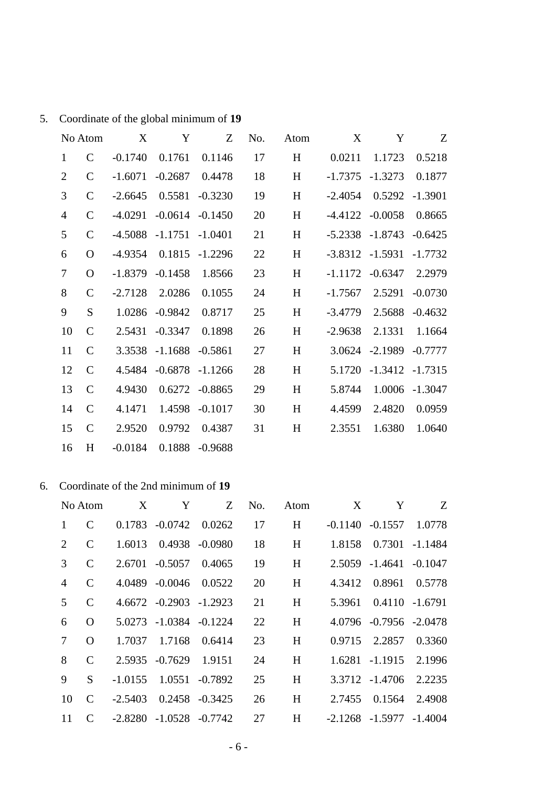| Coordinate of the global minimum of 19 | 5. |  |  |  |  |
|----------------------------------------|----|--|--|--|--|
|----------------------------------------|----|--|--|--|--|

|                | No Atom       | X         | Y         | Z         | No. | Atom | X         | Y         | Z              |
|----------------|---------------|-----------|-----------|-----------|-----|------|-----------|-----------|----------------|
| $\mathbf{1}$   | $\mathcal{C}$ | $-0.1740$ | 0.1761    | 0.1146    | 17  | H    | 0.0211    | 1.1723    | 0.5218         |
| $\overline{2}$ | $\mathsf{C}$  | $-1.6071$ | $-0.2687$ | 0.4478    | 18  | H    | $-1.7375$ | $-1.3273$ | 0.1877         |
| 3              | $\mathcal{C}$ | $-2.6645$ | 0.5581    | $-0.3230$ | 19  | H    | $-2.4054$ | 0.5292    | $-1.3901$      |
| $\overline{4}$ | $\mathbf C$   | $-4.0291$ | $-0.0614$ | $-0.1450$ | 20  | H    | $-4.4122$ | $-0.0058$ | 0.8665         |
| 5              | $\mathsf{C}$  | $-4.5088$ | $-1.1751$ | $-1.0401$ | 21  | H    | $-5.2338$ | $-1.8743$ | $-0.6425$      |
| 6              | $\Omega$      | $-4.9354$ | 0.1815    | $-1.2296$ | 22  | H    | $-3.8312$ | $-1.5931$ | $-1.7732$      |
| $\tau$         | $\Omega$      | $-1.8379$ | $-0.1458$ | 1.8566    | 23  | H    | $-1.1172$ | $-0.6347$ | 2.2979         |
| 8              | $\mathcal{C}$ | $-2.7128$ | 2.0286    | 0.1055    | 24  | H    | $-1.7567$ | 2.5291    | $-0.0730$      |
| 9              | S             | 1.0286    | $-0.9842$ | 0.8717    | 25  | H    | $-3.4779$ | 2.5688    | $-0.4632$      |
| 10             | $\mathsf{C}$  | 2.5431    | $-0.3347$ | 0.1898    | 26  | H    | $-2.9638$ | 2.1331    | 1.1664         |
| 11             | $\mathsf{C}$  | 3.3538    | $-1.1688$ | $-0.5861$ | 27  | H    | 3.0624    | $-2.1989$ | $-0.7777$      |
| 12             | $\mathsf{C}$  | 4.5484    | $-0.6878$ | $-1.1266$ | 28  | H    | 5.1720    | $-1.3412$ | $-1.7315$      |
| 13             | $\mathsf{C}$  | 4.9430    | 0.6272    | $-0.8865$ | 29  | H    | 5.8744    |           | 1.0006 -1.3047 |
| 14             | $\mathsf{C}$  | 4.1471    | 1.4598    | $-0.1017$ | 30  | H    | 4.4599    | 2.4820    | 0.0959         |
| 15             | $\mathbf C$   | 2.9520    | 0.9792    | 0.4387    | 31  | H    | 2.3551    | 1.6380    | 1.0640         |
| 16             | H             | $-0.0184$ | 0.1888    | $-0.9688$ |     |      |           |           |                |

#### 6. Coordinate of the 2nd minimum of **19**

|                             | No Atom  | X         | Y                             | Z              | No. | Atom | X      | Y                             | Z                 |
|-----------------------------|----------|-----------|-------------------------------|----------------|-----|------|--------|-------------------------------|-------------------|
| $\mathbf{1}$                | C        |           | $0.1783 - 0.0742$             | 0.0262         | 17  | H    |        | $-0.1140 - 0.1557$            | 1.0778            |
| $\mathcal{D}_{\mathcal{L}}$ | C        | 1.6013    |                               | 0.4938 -0.0980 | 18  | H    | 1.8158 |                               | $0.7301 - 1.1484$ |
| 3                           | C        |           | $2.6701 - 0.5057$             | 0.4065         | 19  | H    |        | 2.5059 -1.4641                | $-0.1047$         |
| 4                           | C        |           | 4.0489 -0.0046                | 0.0522         | 20  | H    | 4.3412 | 0.8961                        | 0.5778            |
| $\mathcal{F}$               | C        |           | $4.6672 -0.2903 -1.2923$      |                | 21  | H    | 5.3961 |                               | $0.4110 - 1.6791$ |
| 6                           | $\Omega$ |           | 5.0273 -1.0384 -0.1224        |                | 22  | H    |        | 4.0796 -0.7956 -2.0478        |                   |
| 7                           | $\Omega$ | 1.7037    | 1.7168                        | 0.6414         | 23  | H    | 0.9715 | 2.2857                        | 0.3360            |
| 8                           | C        |           | 2.5935 -0.7629                | 1.9151         | 24  | H    |        | 1.6281 -1.1915                | 2.1996            |
| 9                           | S        | $-1.0155$ | 1.0551                        | $-0.7892$      | 25  | H    |        | 3.3712 -1.4706                | 2.2235            |
| 10                          | C        | $-2.5403$ |                               | 0.2458 -0.3425 | 26  | H    | 2.7455 | 0.1564                        | 2.4908            |
| 11                          | C        |           | $-2.8280$ $-1.0528$ $-0.7742$ |                | 27  | H    |        | $-2.1268$ $-1.5977$ $-1.4004$ |                   |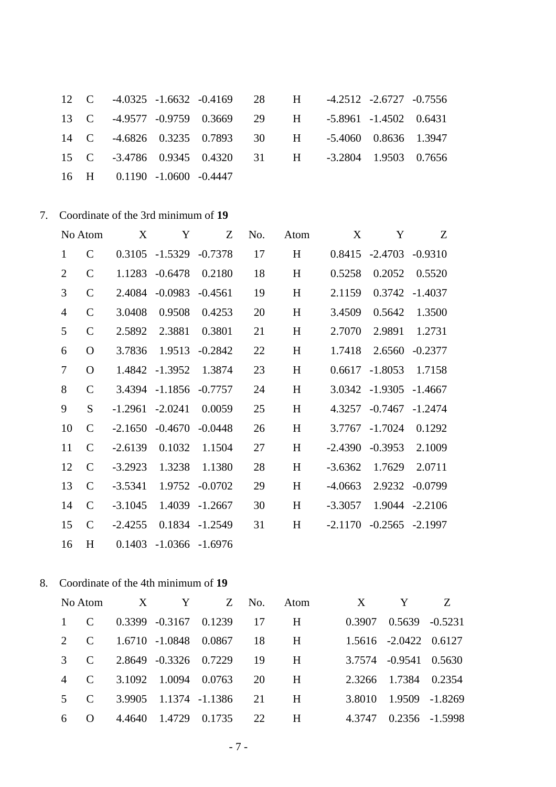|  | 12 C -4.0325 -1.6632 -0.4169  |  | 28 |
|--|-------------------------------|--|----|
|  | 13 C -4.9577 -0.9759 0.3669   |  | 29 |
|  | 14 C -4.6826 0.3235 0.7893    |  | 30 |
|  | 15 C -3.4786 0.9345 0.4320 31 |  |    |
|  | 16 H 0.1190 -1.0600 -0.4447   |  |    |

| H | $-4.2512$ $-2.6727$ $-0.7556$ |  |
|---|-------------------------------|--|
| H | $-5.8961$ $-1.4502$ 0.6431    |  |
| H | $-5.4060$ $0.8636$ $1.3947$   |  |
| H | $-3.2804$ 1.9503 0.7656       |  |
|   |                               |  |

7. Coordinate of the 3rd minimum of 19

|                | No Atom       | X         | Y                  | Z         | No. | Atom | X         | Y                 | Z                  |
|----------------|---------------|-----------|--------------------|-----------|-----|------|-----------|-------------------|--------------------|
| $\mathbf{1}$   | $\mathcal{C}$ | 0.3105    | $-1.5329$          | $-0.7378$ | 17  | H    |           | $0.8415 - 2.4703$ | $-0.9310$          |
| $\overline{2}$ | $\mathbf C$   | 1.1283    | $-0.6478$          | 0.2180    | 18  | H    | 0.5258    | 0.2052            | 0.5520             |
| 3              | $\mathsf{C}$  | 2.4084    | $-0.0983$          | $-0.4561$ | 19  | H    | 2.1159    | 0.3742            | $-1.4037$          |
| $\overline{4}$ | $\mathcal{C}$ | 3.0408    | 0.9508             | 0.4253    | 20  | H    | 3.4509    | 0.5642            | 1.3500             |
| 5              | $\mathsf{C}$  | 2.5892    | 2.3881             | 0.3801    | 21  | H    | 2.7070    | 2.9891            | 1.2731             |
| 6              | $\mathbf{O}$  | 3.7836    | 1.9513             | $-0.2842$ | 22  | H    | 1.7418    | 2.6560            | $-0.2377$          |
| $\tau$         | $\mathbf{O}$  | 1.4842    | $-1.3952$          | 1.3874    | 23  | H    | 0.6617    | $-1.8053$         | 1.7158             |
| 8              | $\mathbf C$   | 3.4394    | $-1.1856$          | $-0.7757$ | 24  | H    | 3.0342    | $-1.9305$         | $-1.4667$          |
| 9              | S             | $-1.2961$ | $-2.0241$          | 0.0059    | 25  | H    | 4.3257    | $-0.7467$         | $-1.2474$          |
| 10             | $\mathsf{C}$  | $-2.1650$ | $-0.4670$          | $-0.0448$ | 26  | H    | 3.7767    | $-1.7024$         | 0.1292             |
| 11             | $\mathcal{C}$ | $-2.6139$ | 0.1032             | 1.1504    | 27  | H    | $-2.4390$ | $-0.3953$         | 2.1009             |
| 12             | $\mathsf{C}$  | $-3.2923$ | 1.3238             | 1.1380    | 28  | H    | $-3.6362$ | 1.7629            | 2.0711             |
| 13             | $\mathcal{C}$ | $-3.5341$ | 1.9752             | $-0.0702$ | 29  | H    | $-4.0663$ | 2.9232            | $-0.0799$          |
| 14             | $\mathsf{C}$  | $-3.1045$ | 1.4039             | $-1.2667$ | 30  | H    | $-3.3057$ |                   | 1.9044 -2.2106     |
| 15             | $\mathbf C$   | $-2.4255$ | 0.1834             | $-1.2549$ | 31  | H    | $-2.1170$ |                   | $-0.2565 - 2.1997$ |
| 16             | H             | 0.1403    | $-1.0366 - 1.6976$ |           |     |      |           |                   |                    |

8. Coordinate of the 4th minimum of 19

|                |                   | No Atom X Y   |                                   |    | Z No. Atom  | X      | Y                           |  |
|----------------|-------------------|---------------|-----------------------------------|----|-------------|--------|-----------------------------|--|
|                |                   |               | C $0.3399 -0.3167 0.1239 17$ H    |    |             |        | $0.3907$ $0.5639$ $-0.5231$ |  |
| 2 $\mathbf{C}$ |                   |               | 1.6710 -1.0848 0.0867 18 H        |    |             |        | 1.5616 -2.0422 0.6127       |  |
|                |                   |               | C $2.8649 -0.3326$ 0.7229 19      |    | $H$ and $H$ |        | 3.7574 -0.9541 0.5630       |  |
|                |                   |               | C $3.1092$ $1.0094$ $0.0763$ 20 H |    |             |        | 2.3266 1.7384 0.2354        |  |
|                |                   |               | C $3.9905$ $1.1374$ $-1.1386$ 21  |    | H           |        | 3.8010 1.9509 -1.8269       |  |
| 6.             | $\Omega = 4.4640$ | 1.4729 0.1735 |                                   | 22 | H           | 4.3747 | 0.2356 -1.5998              |  |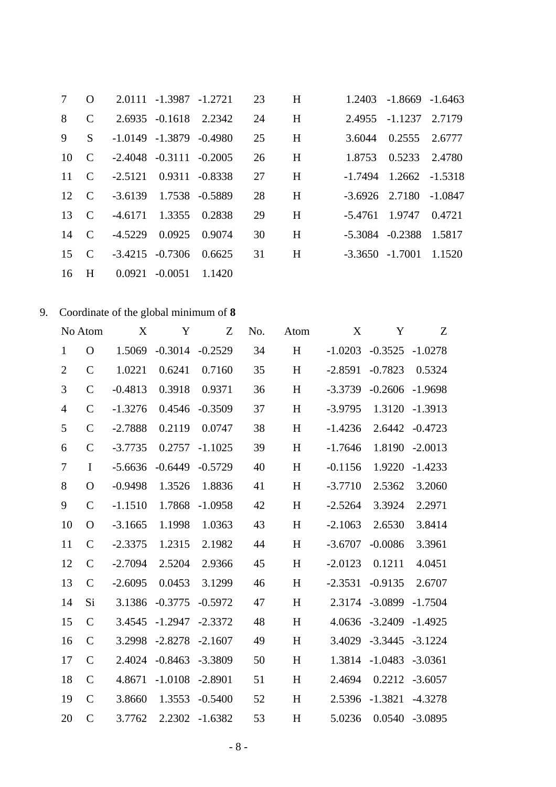| $\tau$       | $\overline{O}$ | 2.0111 -1.3987 -1.2721 23 H                            |  |    |   |                          | 1.2403 -1.8669 -1.6463     |  |
|--------------|----------------|--------------------------------------------------------|--|----|---|--------------------------|----------------------------|--|
| 8            | $\mathcal{C}$  | 2.6935 -0.1618 2.2342                                  |  | 24 |   | H 2.4955 -1.1237 2.7179  |                            |  |
| 9            | S.             | $-1.0149$ $-1.3879$ $-0.4980$                          |  | 25 | H |                          | 3.6044 0.2555 2.6777       |  |
|              |                | $10 \quad C \quad -2.4048 \quad -0.3111 \quad -0.2005$ |  | 26 | H |                          | 1.8753 0.5233 2.4780       |  |
| $11 \quad C$ |                | $-2.5121$ 0.9311 $-0.8338$                             |  | 27 |   | H -1.7494 1.2662 -1.5318 |                            |  |
|              |                | 12 C -3.6139 1.7538 -0.5889                            |  | 28 | H |                          | $-3.6926$ 2.7180 $-1.0847$ |  |
|              |                | 13 C -4.6171 1.3355 0.2838                             |  | 29 | H |                          | $-5.4761$ 1.9747 0.4721    |  |
| 14           | $\overline{C}$ | $-4.5229$ 0.0925 0.9074                                |  | 30 | H | -5.3084 -0.2388 1.5817   |                            |  |
| 15           | $\mathbf{C}$   | $-3.4215$ $-0.7306$ $0.6625$ 31                        |  |    |   | H -3.3650 -1.7001 1.1520 |                            |  |
| 16           | $\mathbf{H}$   | 0.0921 -0.0051 1.1420                                  |  |    |   |                          |                            |  |

### 9. Coordinate of the global minimum of 8

|                  | No Atom       | X         | Y         | Z         | No. | Atom                      | X         | Y         | Z         |
|------------------|---------------|-----------|-----------|-----------|-----|---------------------------|-----------|-----------|-----------|
| $\mathbf{1}$     | $\Omega$      | 1.5069    | $-0.3014$ | $-0.2529$ | 34  | H                         | $-1.0203$ | $-0.3525$ | $-1.0278$ |
| $\overline{2}$   | $\mathsf{C}$  | 1.0221    | 0.6241    | 0.7160    | 35  | H                         | $-2.8591$ | $-0.7823$ | 0.5324    |
| 3                | $\mathcal{C}$ | $-0.4813$ | 0.3918    | 0.9371    | 36  | H                         | $-3.3739$ | $-0.2606$ | $-1.9698$ |
| $\overline{4}$   | $\mathsf{C}$  | $-1.3276$ | 0.4546    | $-0.3509$ | 37  | H                         | $-3.9795$ | 1.3120    | $-1.3913$ |
| 5                | $\mathsf{C}$  | $-2.7888$ | 0.2119    | 0.0747    | 38  | H                         | $-1.4236$ | 2.6442    | $-0.4723$ |
| 6                | $\mathcal{C}$ | $-3.7735$ | 0.2757    | $-1.1025$ | 39  | H                         | $-1.7646$ | 1.8190    | $-2.0013$ |
| $\boldsymbol{7}$ | $\mathbf I$   | $-5.6636$ | $-0.6449$ | $-0.5729$ | 40  | H                         | $-0.1156$ | 1.9220    | $-1.4233$ |
| 8                | $\mathbf O$   | $-0.9498$ | 1.3526    | 1.8836    | 41  | $\, {\rm H}$              | $-3.7710$ | 2.5362    | 3.2060    |
| 9                | $\mathcal{C}$ | $-1.1510$ | 1.7868    | $-1.0958$ | 42  | $\boldsymbol{\mathrm{H}}$ | $-2.5264$ | 3.3924    | 2.2971    |
| 10               | $\mathbf{O}$  | $-3.1665$ | 1.1998    | 1.0363    | 43  | H                         | $-2.1063$ | 2.6530    | 3.8414    |
| 11               | $\mathsf{C}$  | $-2.3375$ | 1.2315    | 2.1982    | 44  | H                         | $-3.6707$ | $-0.0086$ | 3.3961    |
| 12               | $\mathsf{C}$  | $-2.7094$ | 2.5204    | 2.9366    | 45  | H                         | $-2.0123$ | 0.1211    | 4.0451    |
| 13               | $\mathsf{C}$  | $-2.6095$ | 0.0453    | 3.1299    | 46  | H                         | $-2.3531$ | $-0.9135$ | 2.6707    |
| 14               | Si            | 3.1386    | $-0.3775$ | $-0.5972$ | 47  | H                         | 2.3174    | $-3.0899$ | $-1.7504$ |
| 15               | $\mathsf{C}$  | 3.4545    | $-1.2947$ | $-2.3372$ | 48  | H                         | 4.0636    | $-3.2409$ | $-1.4925$ |
| 16               | $\mathcal{C}$ | 3.2998    | $-2.8278$ | $-2.1607$ | 49  | H                         | 3.4029    | $-3.3445$ | $-3.1224$ |
| 17               | $\mathcal{C}$ | 2.4024    | $-0.8463$ | $-3.3809$ | 50  | H                         | 1.3814    | $-1.0483$ | $-3.0361$ |
| 18               | $\mathcal{C}$ | 4.8671    | $-1.0108$ | $-2.8901$ | 51  | H                         | 2.4694    | 0.2212    | $-3.6057$ |
| 19               | $\mathsf{C}$  | 3.8660    | 1.3553    | $-0.5400$ | 52  | H                         | 2.5396    | $-1.3821$ | $-4.3278$ |
| 20               | $\mathsf{C}$  | 3.7762    | 2.2302    | $-1.6382$ | 53  | H                         | 5.0236    | 0.0540    | $-3.0895$ |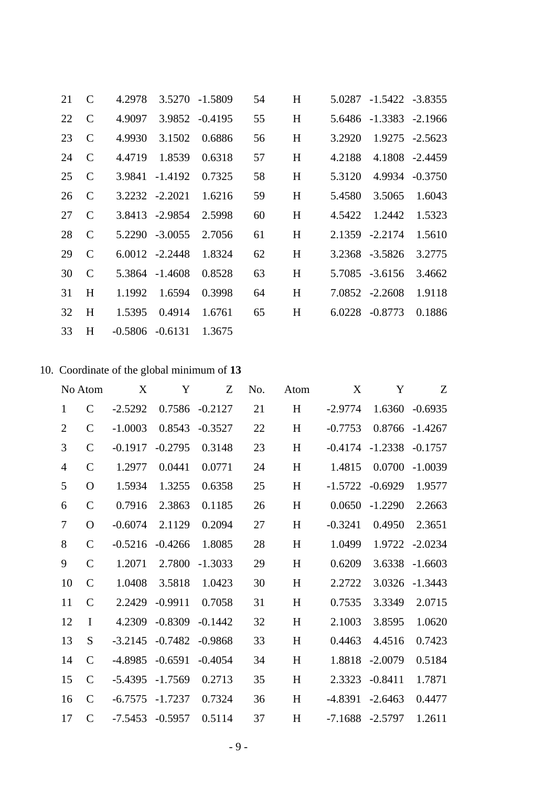| 21 | $\mathcal{C}$ | 4.2978            |                  | 3.5270 -1.5809 | 54 | H |        | 5.0287 -1.5422 -3.8355 |                |
|----|---------------|-------------------|------------------|----------------|----|---|--------|------------------------|----------------|
| 22 | $\mathcal{C}$ | 4.9097            |                  | 3.9852 -0.4195 | 55 | H |        | 5.6486 -1.3383 -2.1966 |                |
| 23 | $\mathcal{C}$ | 4.9930            | 3.1502           | 0.6886         | 56 | H | 3.2920 |                        | 1.9275 -2.5623 |
| 24 | $\mathcal{C}$ | 4.4719            | 1.8539           | 0.6318         | 57 | H | 4.2188 |                        | 4.1808 -2.4459 |
| 25 | $\mathcal{C}$ | 3.9841            | -1.4192          | 0.7325         | 58 | H | 5.3120 |                        | 4.9934 -0.3750 |
| 26 | $\mathcal{C}$ |                   | 3.2232 -2.2021   | 1.6216         | 59 | H | 5.4580 | 3.5065                 | 1.6043         |
| 27 | $\mathcal{C}$ |                   | 3.8413 -2.9854   | 2.5998         | 60 | H | 4.5422 | 1.2442                 | 1.5323         |
| 28 | $\mathcal{C}$ |                   | 5.2290 -3.0055   | 2.7056         | 61 | H |        | 2.1359 -2.2174         | 1.5610         |
| 29 | $\mathcal{C}$ |                   | $6.0012 -2.2448$ | 1.8324         | 62 | H |        | 3.2368 -3.5826         | 3.2775         |
| 30 | $\mathcal{C}$ |                   | 5.3864 -1.4608   | 0.8528         | 63 | H |        | 5.7085 -3.6156         | 3.4662         |
| 31 | H             | 1.1992            | 1.6594           | 0.3998         | 64 | H |        | 7.0852 -2.2608         | 1.9118         |
| 32 | H             | 1.5395            | 0.4914           | 1.6761         | 65 | H |        | 6.0228 -0.8773         | 0.1886         |
| 33 | H             | $-0.5806 -0.6131$ |                  | 1.3675         |    |   |        |                        |                |

# 10. Coordinate of the global minimum of 13

|                | No Atom       | X         | Y         | Z         | No. | Atom      | X         | Y         | Z         |
|----------------|---------------|-----------|-----------|-----------|-----|-----------|-----------|-----------|-----------|
| $\mathbf{1}$   | $\mathcal{C}$ | $-2.5292$ | 0.7586    | $-0.2127$ | 21  | H         | $-2.9774$ | 1.6360    | $-0.6935$ |
| $\overline{2}$ | $\mathbf C$   | $-1.0003$ | 0.8543    | $-0.3527$ | 22  | H         | $-0.7753$ | 0.8766    | $-1.4267$ |
| 3              | $\mathbf C$   | $-0.1917$ | $-0.2795$ | 0.3148    | 23  | H         | $-0.4174$ | $-1.2338$ | $-0.1757$ |
| $\overline{4}$ | $\mathbf C$   | 1.2977    | 0.0441    | 0.0771    | 24  | H         | 1.4815    | 0.0700    | $-1.0039$ |
| 5              | $\mathbf{O}$  | 1.5934    | 1.3255    | 0.6358    | 25  | H         | $-1.5722$ | $-0.6929$ | 1.9577    |
| 6              | $\mathcal{C}$ | 0.7916    | 2.3863    | 0.1185    | 26  | H         | 0.0650    | $-1.2290$ | 2.2663    |
| 7              | $\mathbf{O}$  | $-0.6074$ | 2.1129    | 0.2094    | 27  | H         | $-0.3241$ | 0.4950    | 2.3651    |
| $8\,$          | $\mathbf C$   | $-0.5216$ | $-0.4266$ | 1.8085    | 28  | $H_{\rm}$ | 1.0499    | 1.9722    | $-2.0234$ |
| 9              | $\mathcal{C}$ | 1.2071    | 2.7800    | $-1.3033$ | 29  | H         | 0.6209    | 3.6338    | $-1.6603$ |
| 10             | $\mathsf{C}$  | 1.0408    | 3.5818    | 1.0423    | 30  | H         | 2.2722    | 3.0326    | $-1.3443$ |
| 11             | $\mathsf{C}$  | 2.2429    | $-0.9911$ | 0.7058    | 31  | H         | 0.7535    | 3.3349    | 2.0715    |
| 12             | $\mathbf I$   | 4.2309    | $-0.8309$ | $-0.1442$ | 32  | H         | 2.1003    | 3.8595    | 1.0620    |
| 13             | S             | $-3.2145$ | $-0.7482$ | $-0.9868$ | 33  | H         | 0.4463    | 4.4516    | 0.7423    |
| 14             | $\mathcal{C}$ | $-4.8985$ | $-0.6591$ | $-0.4054$ | 34  | H         | 1.8818    | $-2.0079$ | 0.5184    |
| 15             | $\mathcal{C}$ | $-5.4395$ | $-1.7569$ | 0.2713    | 35  | H         | 2.3323    | $-0.8411$ | 1.7871    |
| 16             | $\mathcal{C}$ | $-6.7575$ | $-1.7237$ | 0.7324    | 36  | H         | $-4.8391$ | $-2.6463$ | 0.4477    |
| 17             | $\mathcal{C}$ | $-7.5453$ | $-0.5957$ | 0.5114    | 37  | H         | $-7.1688$ | $-2.5797$ | 1.2611    |